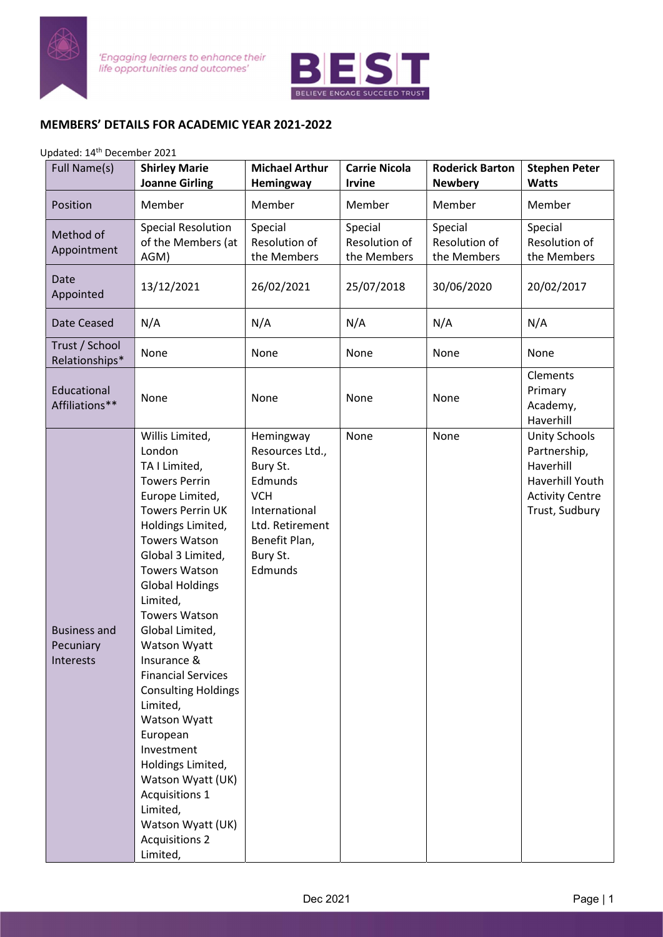

'Engaging learners to enhance their<br>life opportunities and outcomes'



## MEMBERS' DETAILS FOR ACADEMIC YEAR 2021-2022

## Updated: 14th December 2021

| Full Name(s)                                  | <b>Shirley Marie</b><br><b>Joanne Girling</b>                                                                                                                                                                                                                                                                                                                                                                                                                                                                                                                                        | <b>Michael Arthur</b><br>Hemingway                                                                                                            | <b>Carrie Nicola</b><br><b>Irvine</b>   | <b>Roderick Barton</b><br><b>Newbery</b> | <b>Stephen Peter</b><br><b>Watts</b>                                                                             |
|-----------------------------------------------|--------------------------------------------------------------------------------------------------------------------------------------------------------------------------------------------------------------------------------------------------------------------------------------------------------------------------------------------------------------------------------------------------------------------------------------------------------------------------------------------------------------------------------------------------------------------------------------|-----------------------------------------------------------------------------------------------------------------------------------------------|-----------------------------------------|------------------------------------------|------------------------------------------------------------------------------------------------------------------|
| Position                                      | Member                                                                                                                                                                                                                                                                                                                                                                                                                                                                                                                                                                               | Member                                                                                                                                        | Member                                  | Member                                   | Member                                                                                                           |
| Method of<br>Appointment                      | <b>Special Resolution</b><br>of the Members (at<br>AGM)                                                                                                                                                                                                                                                                                                                                                                                                                                                                                                                              | Special<br>Resolution of<br>the Members                                                                                                       | Special<br>Resolution of<br>the Members | Special<br>Resolution of<br>the Members  | Special<br>Resolution of<br>the Members                                                                          |
| Date<br>Appointed                             | 13/12/2021                                                                                                                                                                                                                                                                                                                                                                                                                                                                                                                                                                           | 26/02/2021                                                                                                                                    | 25/07/2018                              | 30/06/2020                               | 20/02/2017                                                                                                       |
| Date Ceased                                   | N/A                                                                                                                                                                                                                                                                                                                                                                                                                                                                                                                                                                                  | N/A                                                                                                                                           | N/A                                     | N/A                                      | N/A                                                                                                              |
| Trust / School<br>Relationships*              | None                                                                                                                                                                                                                                                                                                                                                                                                                                                                                                                                                                                 | None                                                                                                                                          | None                                    | None                                     | None                                                                                                             |
| Educational<br>Affiliations**                 | None                                                                                                                                                                                                                                                                                                                                                                                                                                                                                                                                                                                 | None                                                                                                                                          | None                                    | None                                     | Clements<br>Primary<br>Academy,<br>Haverhill                                                                     |
| <b>Business and</b><br>Pecuniary<br>Interests | Willis Limited,<br>London<br>TA I Limited,<br><b>Towers Perrin</b><br>Europe Limited,<br><b>Towers Perrin UK</b><br>Holdings Limited,<br><b>Towers Watson</b><br>Global 3 Limited,<br><b>Towers Watson</b><br><b>Global Holdings</b><br>Limited,<br><b>Towers Watson</b><br>Global Limited,<br>Watson Wyatt<br>Insurance &<br><b>Financial Services</b><br><b>Consulting Holdings</b><br>Limited,<br>Watson Wyatt<br>European<br>Investment<br>Holdings Limited,<br>Watson Wyatt (UK)<br><b>Acquisitions 1</b><br>Limited,<br>Watson Wyatt (UK)<br><b>Acquisitions 2</b><br>Limited, | Hemingway<br>Resources Ltd.,<br>Bury St.<br>Edmunds<br><b>VCH</b><br>International<br>Ltd. Retirement<br>Benefit Plan,<br>Bury St.<br>Edmunds | None                                    | None                                     | <b>Unity Schools</b><br>Partnership,<br>Haverhill<br>Haverhill Youth<br><b>Activity Centre</b><br>Trust, Sudbury |